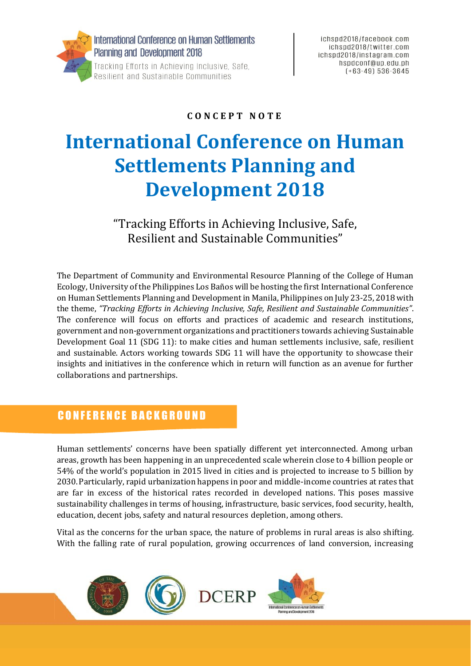

#### **C O N C E P T N O T E**

# **International Conference on Human Settlements Planning and Development 2018**

"Tracking Efforts in Achieving Inclusive, Safe, Resilient and Sustainable Communities"

The Department of Community and Environmental Resource Planning of the College of Human Ecology, University of the Philippines Los Baños will be hosting the first International Conference on Human Settlements Planning and Development in Manila, Philippines on July 23-25, 2018 with the theme, *"Tracking Efforts in Achieving Inclusive, Safe, Resilient and Sustainable Communities"*. The conference will focus on efforts and practices of academic and research institutions, government and non-government organizations and practitioners towards achieving Sustainable Development Goal 11 (SDG 11): to make cities and human settlements inclusive, safe, resilient and sustainable. Actors working towards SDG 11 will have the opportunity to showcase their insights and initiatives in the conference which in return will function as an avenue for further collaborations and partnerships.

## C O N F E R E N C E B A C K G R O U N D

Human settlements' concerns have been spatially different yet interconnected. Among urban areas, growth has been happening in an unprecedented scale wherein close to 4 billion people or 54% of the world's population in 2015 lived in cities and is projected to increase to 5 billion by 2030.Particularly, rapid urbanization happens in poor and middle-income countries at rates that are far in excess of the historical rates recorded in developed nations. This poses massive sustainability challenges in terms of housing, infrastructure, basic services, food security, health, education, decent jobs, safety and natural resources depletion, among others.

Vital as the concerns for the urban space, the nature of problems in rural areas is also shifting. With the falling rate of rural population, growing occurrences of land conversion, increasing

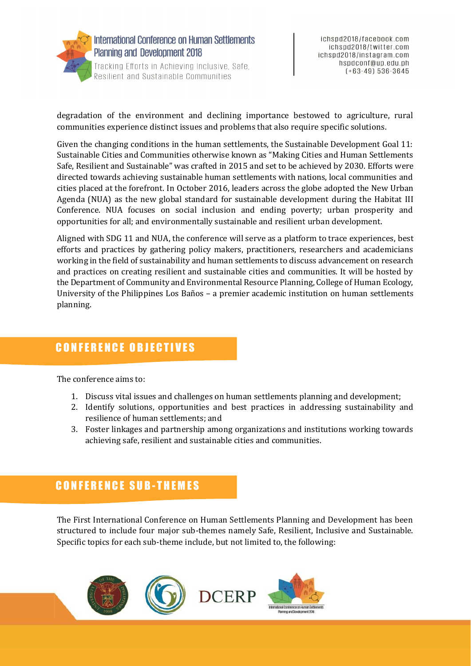

degradation of the environment and declining importance bestowed to agriculture, rural communities experience distinct issues and problems that also require specific solutions.

Given the changing conditions in the human settlements, the Sustainable Development Goal 11: Sustainable Cities and Communities otherwise known as "Making Cities and Human Settlements Safe, Resilient and Sustainable" was crafted in 2015 and set to be achieved by 2030. Efforts were directed towards achieving sustainable human settlements with nations, local communities and cities placed at the forefront. In October 2016, leaders across the globe adopted the New Urban Agenda (NUA) as the new global standard for sustainable development during the Habitat III Conference. NUA focuses on social inclusion and ending poverty; urban prosperity and opportunities for all; and environmentally sustainable and resilient urban development.

Aligned with SDG 11 and NUA, the conference will serve as a platform to trace experiences, best efforts and practices by gathering policy makers, practitioners, researchers and academicians working in the field of sustainability and human settlements to discuss advancement on research and practices on creating resilient and sustainable cities and communities. It will be hosted by the Department of Community and Environmental Resource Planning, College of Human Ecology, University of the Philippines Los Baños – a premier academic institution on human settlements planning.

# CONFERENCE OBJECTIVES

The conference aims to:

- 1. Discuss vital issues and challenges on human settlements planning and development;
- 2. Identify solutions, opportunities and best practices in addressing sustainability and resilience of human settlements; and
- 3. Foster linkages and partnership among organizations and institutions working towards achieving safe, resilient and sustainable cities and communities.

# **CONFERENCE SUB-THEMES**

The First International Conference on Human Settlements Planning and Development has been structured to include four major sub-themes namely Safe, Resilient, Inclusive and Sustainable. Specific topics for each sub-theme include, but not limited to, the following: